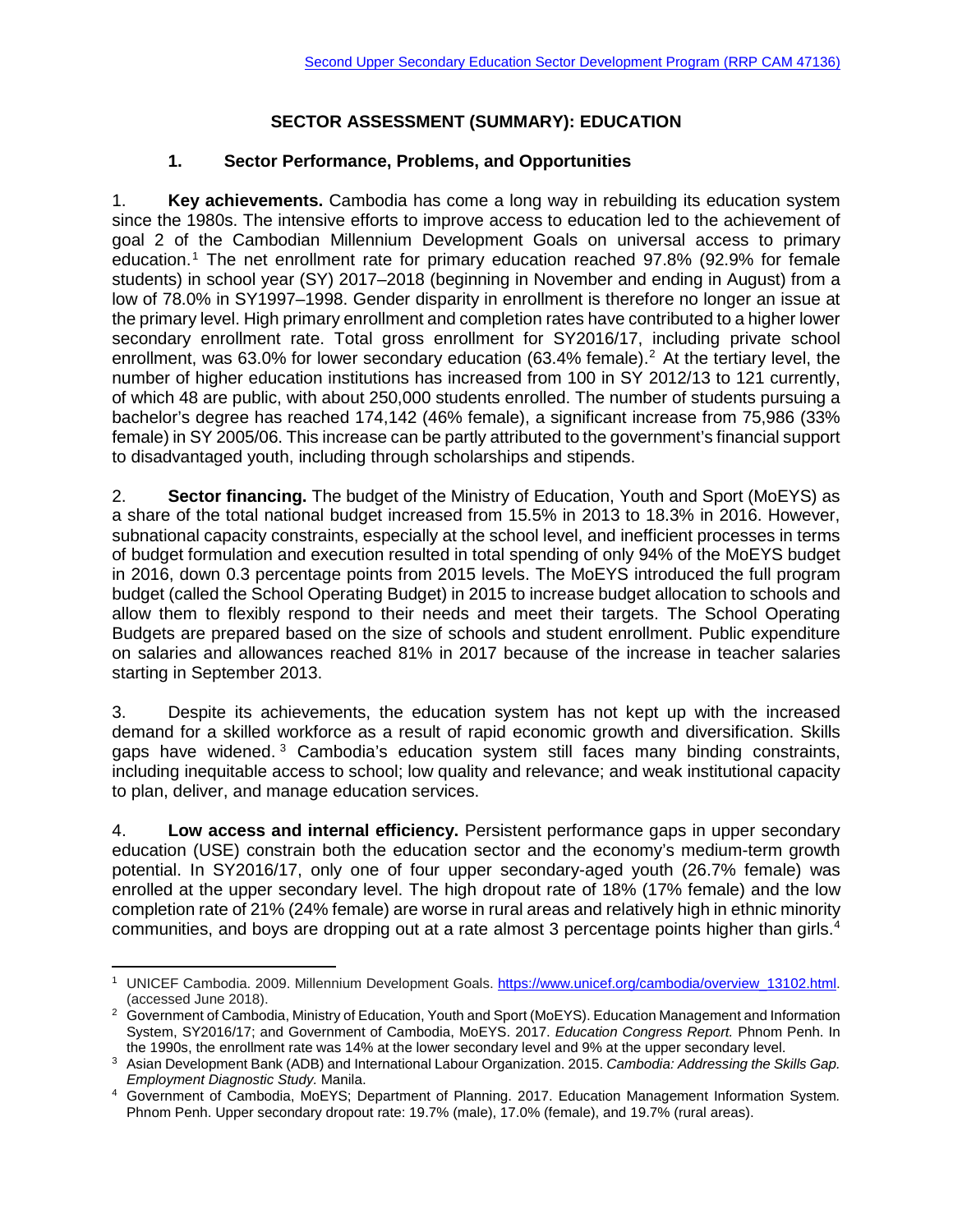## **SECTOR ASSESSMENT (SUMMARY): EDUCATION**

## **1. Sector Performance, Problems, and Opportunities**

1. **Key achievements.** Cambodia has come a long way in rebuilding its education system since the 1980s. The intensive efforts to improve access to education led to the achievement of goal 2 of the Cambodian Millennium Development Goals on universal access to primary education.[1](#page-0-0) The net enrollment rate for primary education reached 97.8% (92.9% for female students) in school year (SY) 2017–2018 (beginning in November and ending in August) from a low of 78.0% in SY1997–1998. Gender disparity in enrollment is therefore no longer an issue at the primary level. High primary enrollment and completion rates have contributed to a higher lower secondary enrollment rate. Total gross enrollment for SY2016/17, including private school enrollment, was 63.0% for lower secondary education (63.4% female). [2](#page-0-1) At the tertiary level, the number of higher education institutions has increased from 100 in SY 2012/13 to 121 currently, of which 48 are public, with about 250,000 students enrolled. The number of students pursuing a bachelor's degree has reached 174,142 (46% female), a significant increase from 75,986 (33% female) in SY 2005/06. This increase can be partly attributed to the government's financial support to disadvantaged youth, including through scholarships and stipends.

2. **Sector financing.** The budget of the Ministry of Education, Youth and Sport (MoEYS) as a share of the total national budget increased from 15.5% in 2013 to 18.3% in 2016. However, subnational capacity constraints, especially at the school level, and inefficient processes in terms of budget formulation and execution resulted in total spending of only 94% of the MoEYS budget in 2016, down 0.3 percentage points from 2015 levels. The MoEYS introduced the full program budget (called the School Operating Budget) in 2015 to increase budget allocation to schools and allow them to flexibly respond to their needs and meet their targets. The School Operating Budgets are prepared based on the size of schools and student enrollment. Public expenditure on salaries and allowances reached 81% in 2017 because of the increase in teacher salaries starting in September 2013.

3. Despite its achievements, the education system has not kept up with the increased demand for a skilled workforce as a result of rapid economic growth and diversification. Skills gaps have widened. [3](#page-0-2) Cambodia's education system still faces many binding constraints, including inequitable access to school; low quality and relevance; and weak institutional capacity to plan, deliver, and manage education services.

4. **Low access and internal efficiency.** Persistent performance gaps in upper secondary education (USE) constrain both the education sector and the economy's medium-term growth potential. In SY2016/17, only one of four upper secondary-aged youth (26.7% female) was enrolled at the upper secondary level. The high dropout rate of 18% (17% female) and the low completion rate of 21% (24% female) are worse in rural areas and relatively high in ethnic minority communities, and boys are dropping out at a rate almost 3 percentage points higher than girls.<sup>[4](#page-0-3)</sup>

<span id="page-0-0"></span> $\overline{a}$ <sup>1</sup> UNICEF Cambodia. 2009. Millennium Development Goals. [https://www.unicef.org/cambodia/overview\\_13102.html.](https://www.unicef.org/cambodia/overview_13102.html) (accessed June 2018).

<span id="page-0-1"></span><sup>&</sup>lt;sup>2</sup> Government of Cambodia, Ministry of Education, Youth and Sport (MoEYS). Education Management and Information System, SY2016/17; and Government of Cambodia, MoEYS. 2017. *Education Congress Report*. Phnom Penh. In the 1990s, the enrollment rate was 14% at the lower secondary level and 9% at the upper secondary level.

<span id="page-0-2"></span><sup>&</sup>lt;sup>3</sup> Asian Development Bank (ADB) and International Labour Organization. 2015. Cambodia: Addressing the Skills Gap. *Employment Diagnostic Study.* Manila.

<span id="page-0-3"></span><sup>4</sup> Government of Cambodia, MoEYS; Department of Planning. 2017. Education Management Information System*.* Phnom Penh. Upper secondary dropout rate: 19.7% (male), 17.0% (female), and 19.7% (rural areas).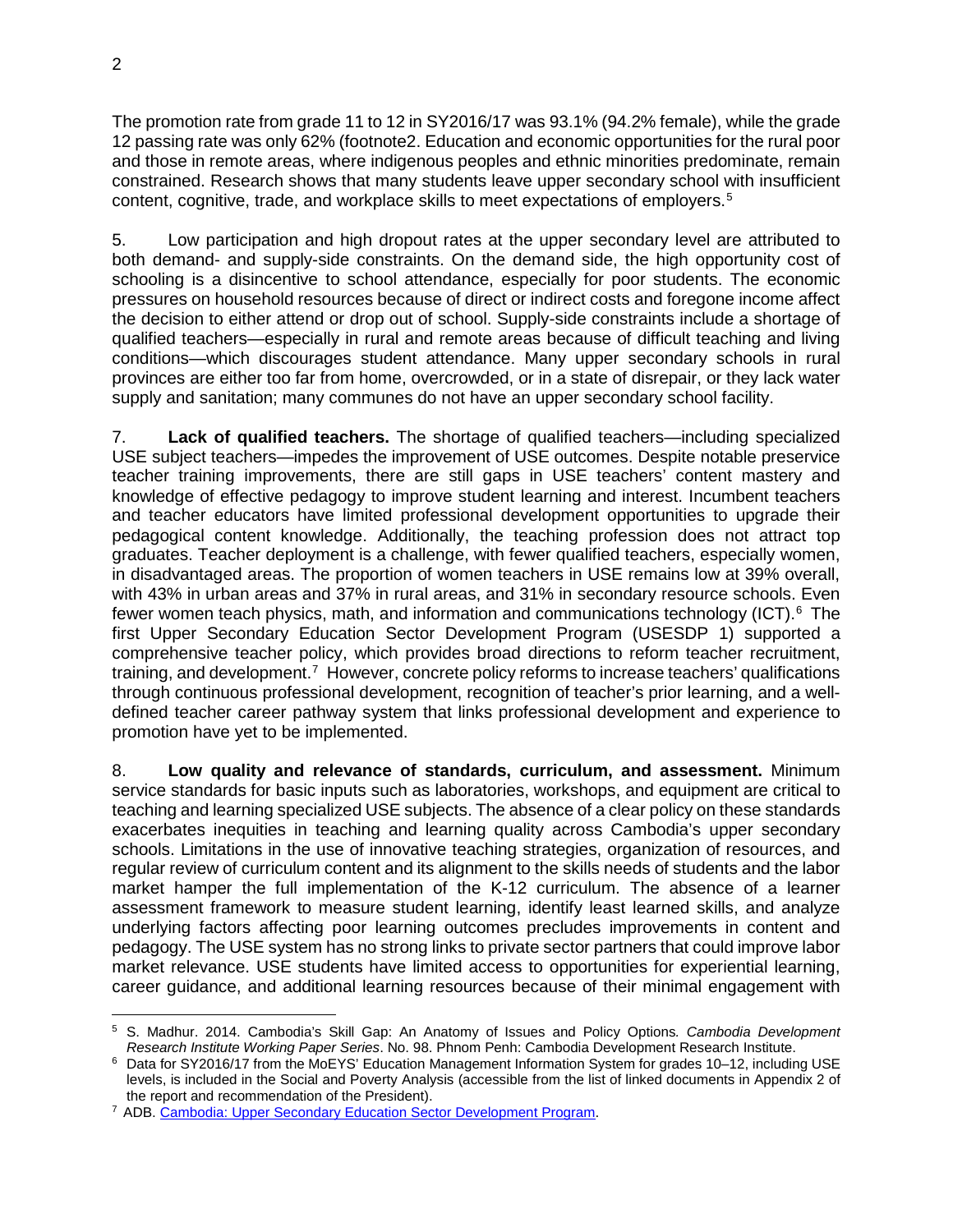The promotion rate from grade 11 to 12 in SY2016/17 was 93.1% (94.2% female), while the grade 12 passing rate was only 62% (footnote2. Education and economic opportunities for the rural poor and those in remote areas, where indigenous peoples and ethnic minorities predominate, remain constrained. Research shows that many students leave upper secondary school with insufficient content, cognitive, trade, and workplace skills to meet expectations of employers.<sup>[5](#page-1-0)</sup>

5. Low participation and high dropout rates at the upper secondary level are attributed to both demand- and supply-side constraints. On the demand side, the high opportunity cost of schooling is a disincentive to school attendance, especially for poor students. The economic pressures on household resources because of direct or indirect costs and foregone income affect the decision to either attend or drop out of school. Supply-side constraints include a shortage of qualified teachers—especially in rural and remote areas because of difficult teaching and living conditions—which discourages student attendance. Many upper secondary schools in rural provinces are either too far from home, overcrowded, or in a state of disrepair, or they lack water supply and sanitation; many communes do not have an upper secondary school facility.

7. **Lack of qualified teachers.** The shortage of qualified teachers—including specialized USE subject teachers—impedes the improvement of USE outcomes. Despite notable preservice teacher training improvements, there are still gaps in USE teachers' content mastery and knowledge of effective pedagogy to improve student learning and interest. Incumbent teachers and teacher educators have limited professional development opportunities to upgrade their pedagogical content knowledge. Additionally, the teaching profession does not attract top graduates. Teacher deployment is a challenge, with fewer qualified teachers, especially women, in disadvantaged areas. The proportion of women teachers in USE remains low at 39% overall, with 43% in urban areas and 37% in rural areas, and 31% in secondary resource schools. Even fewer women teach physics, math, and information and communications technology (ICT).  $6$  The first Upper Secondary Education Sector Development Program (USESDP 1) supported a comprehensive teacher policy, which provides broad directions to reform teacher recruitment, training, and development.<sup>[7](#page-1-2)</sup> However, concrete policy reforms to increase teachers' qualifications through continuous professional development, recognition of teacher's prior learning, and a welldefined teacher career pathway system that links professional development and experience to promotion have yet to be implemented.

8. **Low quality and relevance of standards, curriculum, and assessment.** Minimum service standards for basic inputs such as laboratories, workshops, and equipment are critical to teaching and learning specialized USE subjects. The absence of a clear policy on these standards exacerbates inequities in teaching and learning quality across Cambodia's upper secondary schools. Limitations in the use of innovative teaching strategies, organization of resources, and regular review of curriculum content and its alignment to the skills needs of students and the labor market hamper the full implementation of the K-12 curriculum. The absence of a learner assessment framework to measure student learning, identify least learned skills, and analyze underlying factors affecting poor learning outcomes precludes improvements in content and pedagogy. The USE system has no strong links to private sector partners that could improve labor market relevance. USE students have limited access to opportunities for experiential learning, career guidance, and additional learning resources because of their minimal engagement with

<span id="page-1-0"></span> $\overline{a}$ <sup>5</sup> S. Madhur. 2014. Cambodia's Skill Gap: An Anatomy of Issues and Policy Options*. Cambodia Development Research Institute Working Paper Series*. No. 98. Phnom Penh: Cambodia Development Research Institute.

<span id="page-1-1"></span><sup>6</sup> Data for SY2016/17 from the MoEYS' Education Management Information System for grades 10–12, including USE levels, is included in the Social and Poverty Analysis (accessible from the list of linked documents in Appendix 2 of the report and recommendation of the President).

<span id="page-1-2"></span><sup>7</sup> ADB. [Cambodia: Upper Secondary Education Sector Development Program.](https://www.adb.org/projects/47136-003/main)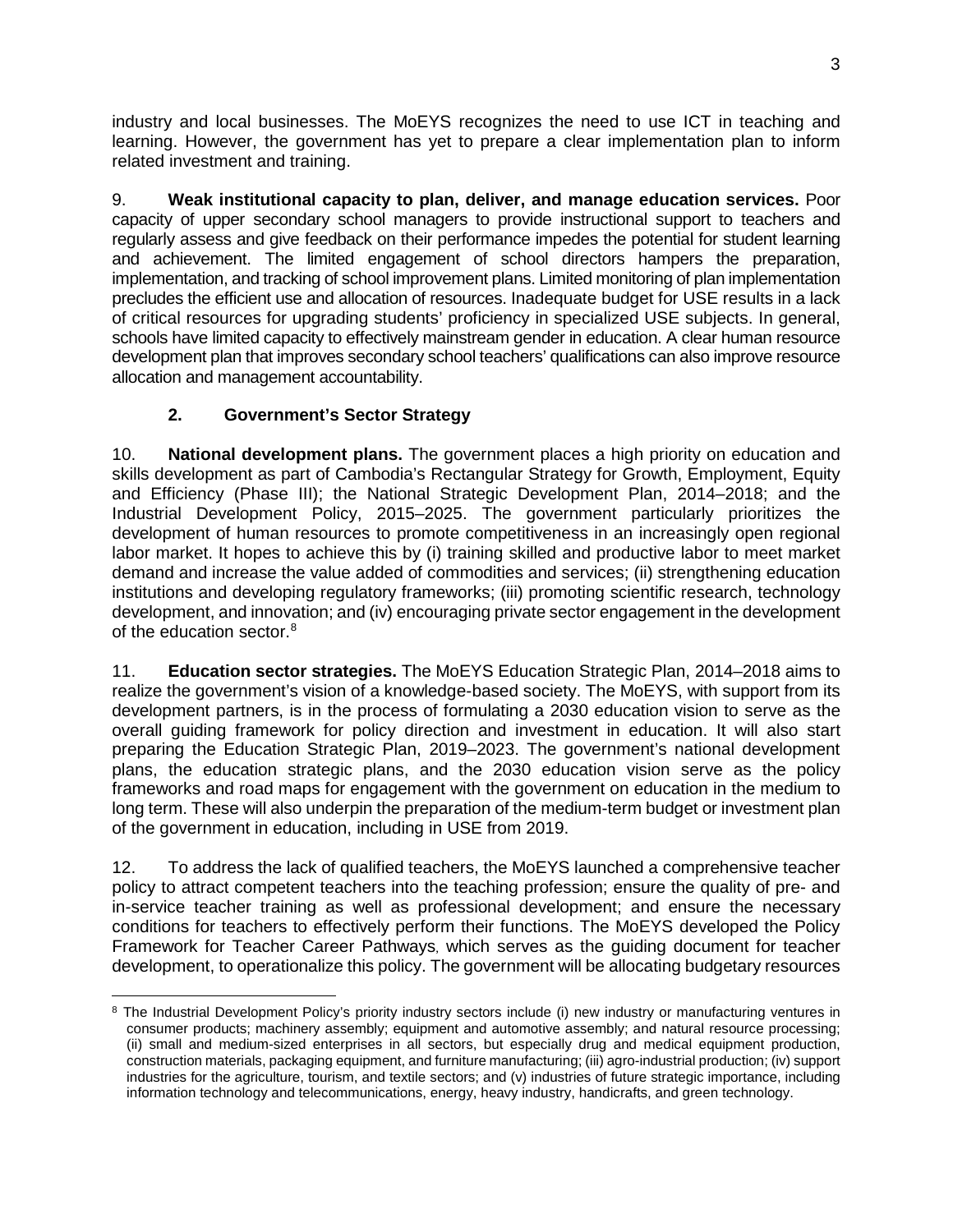industry and local businesses. The MoEYS recognizes the need to use ICT in teaching and learning. However, the government has yet to prepare a clear implementation plan to inform related investment and training.

9. **Weak institutional capacity to plan, deliver, and manage education services.** Poor capacity of upper secondary school managers to provide instructional support to teachers and regularly assess and give feedback on their performance impedes the potential for student learning and achievement. The limited engagement of school directors hampers the preparation, implementation, and tracking of school improvement plans. Limited monitoring of plan implementation precludes the efficient use and allocation of resources. Inadequate budget for USE results in a lack of critical resources for upgrading students' proficiency in specialized USE subjects. In general, schools have limited capacity to effectively mainstream gender in education. A clear human resource development plan that improves secondary school teachers' qualifications can also improve resource allocation and management accountability.

## **2. Government's Sector Strategy**

10. **National development plans.** The government places a high priority on education and skills development as part of Cambodia's Rectangular Strategy for Growth, Employment, Equity and Efficiency (Phase III); the National Strategic Development Plan, 2014–2018; and the Industrial Development Policy, 2015–2025. The government particularly prioritizes the development of human resources to promote competitiveness in an increasingly open regional labor market. It hopes to achieve this by (i) training skilled and productive labor to meet market demand and increase the value added of commodities and services; (ii) strengthening education institutions and developing regulatory frameworks; (iii) promoting scientific research, technology development, and innovation; and (iv) encouraging private sector engagement in the development of the education sector.<sup>[8](#page-2-0)</sup>

11. **Education sector strategies.** The MoEYS Education Strategic Plan, 2014–2018 aims to realize the government's vision of a knowledge-based society. The MoEYS, with support from its development partners, is in the process of formulating a 2030 education vision to serve as the overall guiding framework for policy direction and investment in education. It will also start preparing the Education Strategic Plan, 2019–2023. The government's national development plans, the education strategic plans, and the 2030 education vision serve as the policy frameworks and road maps for engagement with the government on education in the medium to long term. These will also underpin the preparation of the medium-term budget or investment plan of the government in education, including in USE from 2019.

12. To address the lack of qualified teachers, the MoEYS launched a comprehensive teacher policy to attract competent teachers into the teaching profession; ensure the quality of pre- and in-service teacher training as well as professional development; and ensure the necessary conditions for teachers to effectively perform their functions. The MoEYS developed the Policy Framework for Teacher Career Pathways, which serves as the guiding document for teacher development, to operationalize this policy. The government will be allocating budgetary resources

<span id="page-2-0"></span> $\overline{a}$ <sup>8</sup> The Industrial Development Policy's priority industry sectors include (i) new industry or manufacturing ventures in consumer products; machinery assembly; equipment and automotive assembly; and natural resource processing; (ii) small and medium-sized enterprises in all sectors, but especially drug and medical equipment production, construction materials, packaging equipment, and furniture manufacturing; (iii) agro-industrial production; (iv) support industries for the agriculture, tourism, and textile sectors; and (v) industries of future strategic importance, including information technology and telecommunications, energy, heavy industry, handicrafts, and green technology.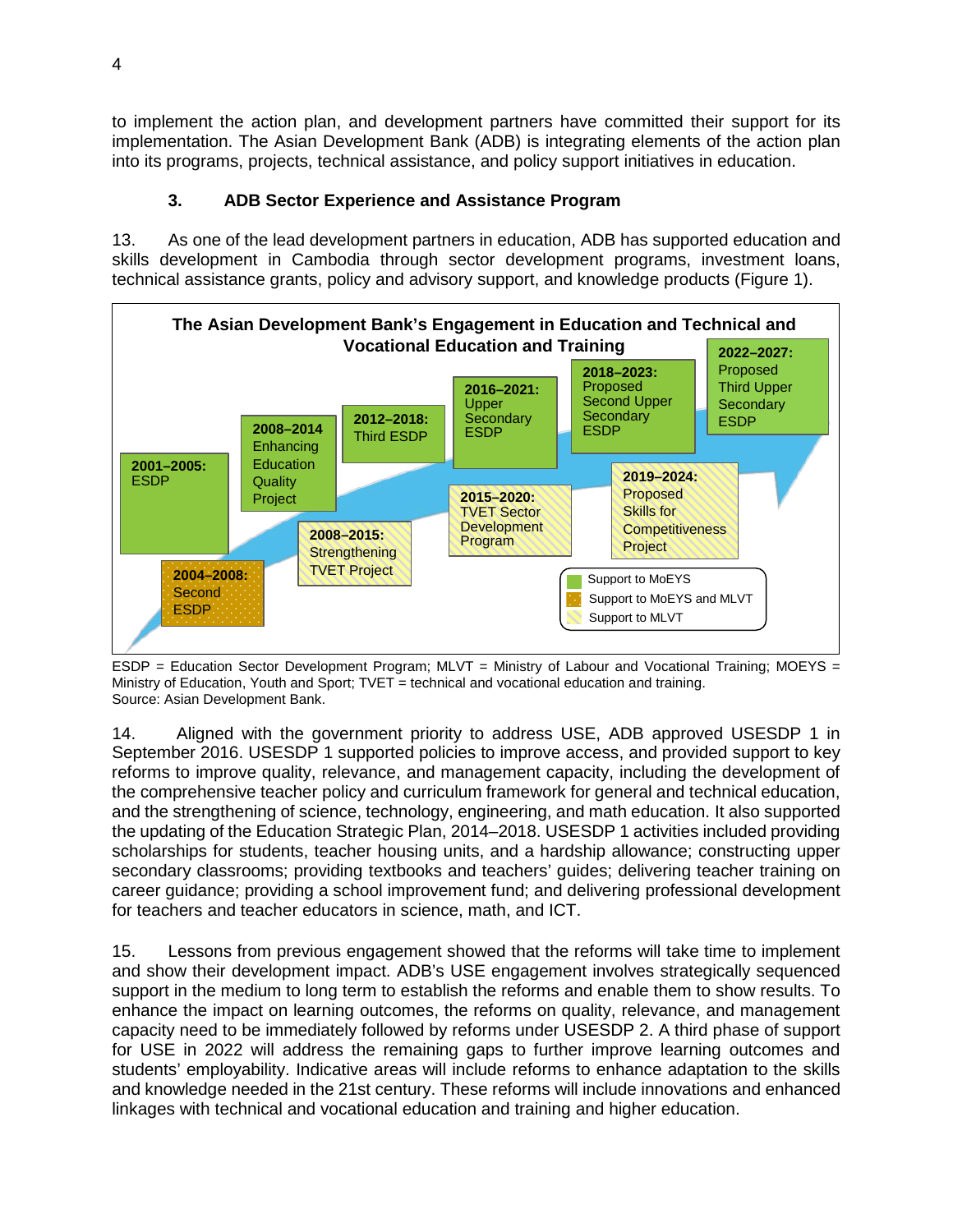to implement the action plan, and development partners have committed their support for its implementation. The Asian Development Bank (ADB) is integrating elements of the action plan into its programs, projects, technical assistance, and policy support initiatives in education.

## **3. ADB Sector Experience and Assistance Program**

13. As one of the lead development partners in education, ADB has supported education and skills development in Cambodia through sector development programs, investment loans, technical assistance grants, policy and advisory support, and knowledge products (Figure 1).



ESDP = Education Sector Development Program; MLVT = Ministry of Labour and Vocational Training; MOEYS = Ministry of Education, Youth and Sport; TVET = technical and vocational education and training. Source: Asian Development Bank.

14. Aligned with the government priority to address USE, ADB approved USESDP 1 in September 2016. USESDP 1 supported policies to improve access, and provided support to key reforms to improve quality, relevance, and management capacity, including the development of the comprehensive teacher policy and curriculum framework for general and technical education, and the strengthening of science, technology, engineering, and math education. It also supported the updating of the Education Strategic Plan, 2014–2018. USESDP 1 activities included providing scholarships for students, teacher housing units, and a hardship allowance; constructing upper secondary classrooms; providing textbooks and teachers' guides; delivering teacher training on career guidance; providing a school improvement fund; and delivering professional development for teachers and teacher educators in science, math, and ICT.

15. Lessons from previous engagement showed that the reforms will take time to implement and show their development impact. ADB's USE engagement involves strategically sequenced support in the medium to long term to establish the reforms and enable them to show results. To enhance the impact on learning outcomes, the reforms on quality, relevance, and management capacity need to be immediately followed by reforms under USESDP 2. A third phase of support for USE in 2022 will address the remaining gaps to further improve learning outcomes and students' employability. Indicative areas will include reforms to enhance adaptation to the skills and knowledge needed in the 21st century. These reforms will include innovations and enhanced linkages with technical and vocational education and training and higher education.